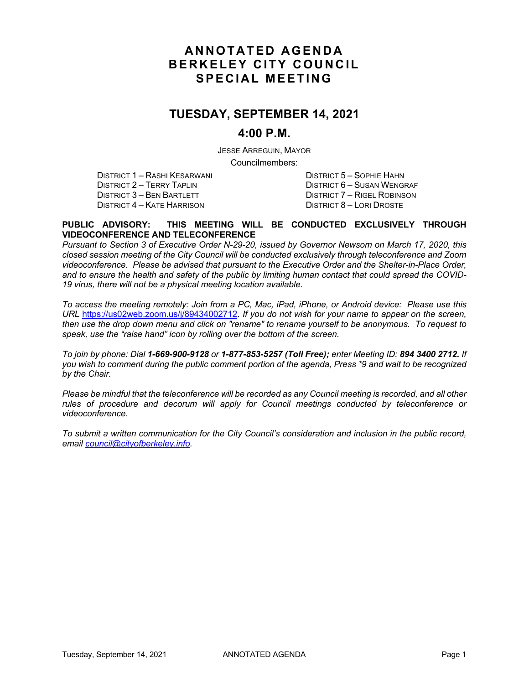# **ANNOTATED AGENDA BERKELEY CITY COUNCIL SPECIAL MEETING**

# **TUESDAY, SEPTEMBER 14, 2021**

### **4:00 P.M.**

JESSE ARREGUIN, MAYOR

Councilmembers:

DISTRICT 1 – RASHI KESARWANI DISTRICT 5 – SOPHIE HAHN DISTRICT 2 – TERRY TAPLIN<br>DISTRICT 3 – BEN BARTLETT TERRY TO DISTRICT 7 – RIGEL ROBINSON DISTRICT 4 – KATE HARRISON

DISTRICT 7 – RIGEL ROBINSON<br>DISTRICT 8 – LORI DROSTE

#### **PUBLIC ADVISORY: THIS MEETING WILL BE CONDUCTED EXCLUSIVELY THROUGH VIDEOCONFERENCE AND TELECONFERENCE**

*Pursuant to Section 3 of Executive Order N-29-20, issued by Governor Newsom on March 17, 2020, this closed session meeting of the City Council will be conducted exclusively through teleconference and Zoom videoconference. Please be advised that pursuant to the Executive Order and the Shelter-in-Place Order, and to ensure the health and safety of the public by limiting human contact that could spread the COVID-19 virus, there will not be a physical meeting location available.* 

*To access the meeting remotely: Join from a PC, Mac, iPad, iPhone, or Android device: Please use this URL* https://us02web.zoom.us/j/89434002712. *If you do not wish for your name to appear on the screen, then use the drop down menu and click on "rename" to rename yourself to be anonymous. To request to speak, use the "raise hand" icon by rolling over the bottom of the screen.* 

*To join by phone: Dial 1-669-900-9128 or 1-877-853-5257 (Toll Free); enter Meeting ID: 894 3400 2712. If you wish to comment during the public comment portion of the agenda, Press \*9 and wait to be recognized by the Chair.* 

*Please be mindful that the teleconference will be recorded as any Council meeting is recorded, and all other rules of procedure and decorum will apply for Council meetings conducted by teleconference or videoconference.*

*To submit a written communication for the City Council's consideration and inclusion in the public record, email council@cityofberkeley.info.*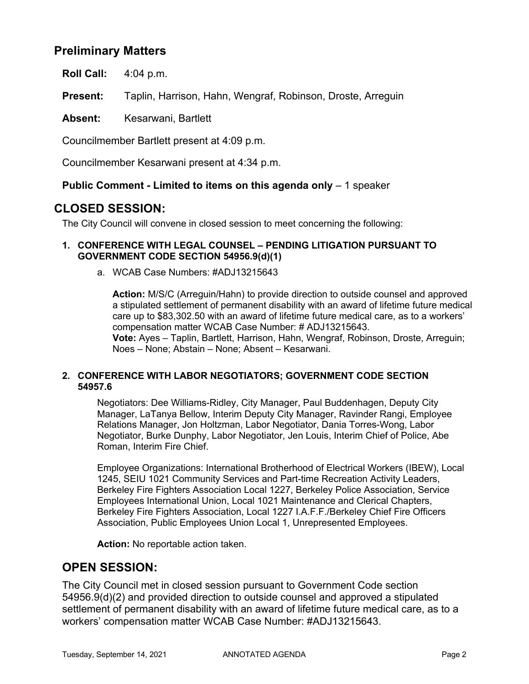# **Preliminary Matters**

**Roll Call:** 4:04 p.m.

**Present:** Taplin, Harrison, Hahn, Wengraf, Robinson, Droste, Arreguin

**Absent:** Kesarwani, Bartlett

Councilmember Bartlett present at 4:09 p.m.

Councilmember Kesarwani present at 4:34 p.m.

### **Public Comment - Limited to items on this agenda only** – 1 speaker

## **CLOSED SESSION:**

The City Council will convene in closed session to meet concerning the following:

### **1. CONFERENCE WITH LEGAL COUNSEL – PENDING LITIGATION PURSUANT TO GOVERNMENT CODE SECTION 54956.9(d)(1)**

a. WCAB Case Numbers: #ADJ13215643

**Action:** M/S/C (Arreguin/Hahn) to provide direction to outside counsel and approved a stipulated settlement of permanent disability with an award of lifetime future medical care up to \$83,302.50 with an award of lifetime future medical care, as to a workers' compensation matter WCAB Case Number: # ADJ13215643. **Vote:** Ayes – Taplin, Bartlett, Harrison, Hahn, Wengraf, Robinson, Droste, Arreguin; Noes – None; Abstain – None; Absent – Kesarwani.

### **2. CONFERENCE WITH LABOR NEGOTIATORS; GOVERNMENT CODE SECTION 54957.6**

Negotiators: Dee Williams-Ridley, City Manager, Paul Buddenhagen, Deputy City Manager, LaTanya Bellow, Interim Deputy City Manager, Ravinder Rangi, Employee Relations Manager, Jon Holtzman, Labor Negotiator, Dania Torres-Wong, Labor Negotiator, Burke Dunphy, Labor Negotiator, Jen Louis, Interim Chief of Police, Abe Roman, Interim Fire Chief.

Employee Organizations: International Brotherhood of Electrical Workers (IBEW), Local 1245, SEIU 1021 Community Services and Part-time Recreation Activity Leaders, Berkeley Fire Fighters Association Local 1227, Berkeley Police Association, Service Employees International Union, Local 1021 Maintenance and Clerical Chapters, Berkeley Fire Fighters Association, Local 1227 I.A.F.F./Berkeley Chief Fire Officers Association, Public Employees Union Local 1, Unrepresented Employees.

**Action:** No reportable action taken.

## **OPEN SESSION:**

The City Council met in closed session pursuant to Government Code section 54956.9(d)(2) and provided direction to outside counsel and approved a stipulated settlement of permanent disability with an award of lifetime future medical care, as to a workers' compensation matter WCAB Case Number: #ADJ13215643.